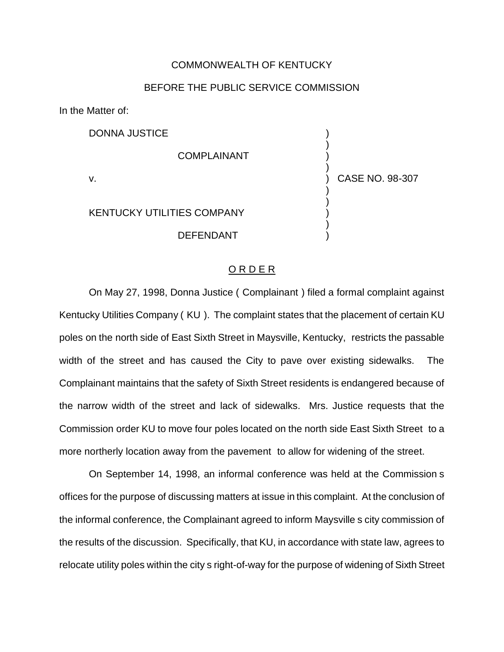## COMMONWEALTH OF KENTUCKY

## BEFORE THE PUBLIC SERVICE COMMISSION

In the Matter of:

DONNA JUSTICE ) ) **COMPLAINANT** ) v. ) CASE NO. 98-307 ) ) KENTUCKY UTILITIES COMPANY ) ) **DEFENDANT** 

## O R D E R

On May 27, 1998, Donna Justice ( Complainant ) filed a formal complaint against Kentucky Utilities Company ( KU ). The complaint states that the placement of certain KU poles on the north side of East Sixth Street in Maysville, Kentucky, restricts the passable width of the street and has caused the City to pave over existing sidewalks. The Complainant maintains that the safety of Sixth Street residents is endangered because of the narrow width of the street and lack of sidewalks. Mrs. Justice requests that the Commission order KU to move four poles located on the north side East Sixth Street to a more northerly location away from the pavement to allow for widening of the street.

On September 14, 1998, an informal conference was held at the Commission s offices for the purpose of discussing matters at issue in this complaint. At the conclusion of the informal conference, the Complainant agreed to inform Maysville s city commission of the results of the discussion. Specifically, that KU, in accordance with state law, agrees to relocate utility poles within the city s right-of-way for the purpose of widening of Sixth Street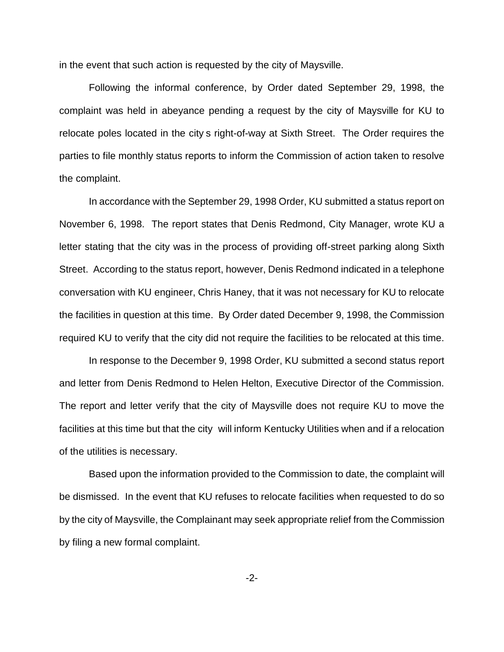in the event that such action is requested by the city of Maysville.

Following the informal conference, by Order dated September 29, 1998, the complaint was held in abeyance pending a request by the city of Maysville for KU to relocate poles located in the city s right-of-way at Sixth Street. The Order requires the parties to file monthly status reports to inform the Commission of action taken to resolve the complaint.

In accordance with the September 29, 1998 Order, KU submitted a status report on November 6, 1998. The report states that Denis Redmond, City Manager, wrote KU a letter stating that the city was in the process of providing off-street parking along Sixth Street. According to the status report, however, Denis Redmond indicated in a telephone conversation with KU engineer, Chris Haney, that it was not necessary for KU to relocate the facilities in question at this time. By Order dated December 9, 1998, the Commission required KU to verify that the city did not require the facilities to be relocated at this time.

In response to the December 9, 1998 Order, KU submitted a second status report and letter from Denis Redmond to Helen Helton, Executive Director of the Commission. The report and letter verify that the city of Maysville does not require KU to move the facilities at this time but that the city will inform Kentucky Utilities when and if a relocation of the utilities is necessary.

Based upon the information provided to the Commission to date, the complaint will be dismissed. In the event that KU refuses to relocate facilities when requested to do so by the city of Maysville, the Complainant may seek appropriate relief from the Commission by filing a new formal complaint.

-2-